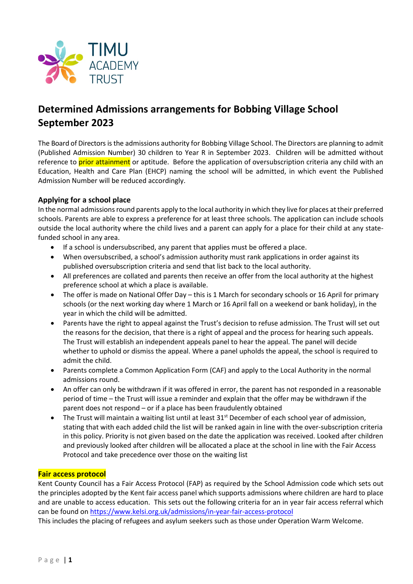

# **Determined Admissions arrangements for Bobbing Village School September 2023**

The Board of Directors is the admissions authority for Bobbing Village School. The Directors are planning to admit (Published Admission Number) 30 children to Year R in September 2023. Children will be admitted without reference to prior attainment or aptitude. Before the application of oversubscription criteria any child with an Education, Health and Care Plan (EHCP) naming the school will be admitted, in which event the Published Admission Number will be reduced accordingly.

## **Applying for a school place**

In the normal admissions round parents apply to the local authority in which they live for places at their preferred schools. Parents are able to express a preference for at least three schools. The application can include schools outside the local authority where the child lives and a parent can apply for a place for their child at any statefunded school in any area.

- If a school is undersubscribed, any parent that applies must be offered a place.
- When oversubscribed, a school's admission authority must rank applications in order against its published oversubscription criteria and send that list back to the local authority.
- All preferences are collated and parents then receive an offer from the local authority at the highest preference school at which a place is available.
- The offer is made on National Offer Day this is 1 March for secondary schools or 16 April for primary schools (or the next working day where 1 March or 16 April fall on a weekend or bank holiday), in the year in which the child will be admitted.
- Parents have the right to appeal against the Trust's decision to refuse admission. The Trust will set out the reasons for the decision, that there is a right of appeal and the process for hearing such appeals. The Trust will establish an independent appeals panel to hear the appeal. The panel will decide whether to uphold or dismiss the appeal. Where a panel upholds the appeal, the school is required to admit the child.
- Parents complete a Common Application Form (CAF) and apply to the Local Authority in the normal admissions round.
- An offer can only be withdrawn if it was offered in error, the parent has not responded in a reasonable period of time – the Trust will issue a reminder and explain that the offer may be withdrawn if the parent does not respond – or if a place has been fraudulently obtained
- The Trust will maintain a waiting list until at least  $31<sup>st</sup>$  December of each school year of admission, stating that with each added child the list will be ranked again in line with the over-subscription criteria in this policy. Priority is not given based on the date the application was received. Looked after children and previously looked after children will be allocated a place at the school in line with the Fair Access Protocol and take precedence over those on the waiting list

#### **Fair access protocol**

Kent County Council has a Fair Access Protocol (FAP) as required by the School Admission code which sets out the principles adopted by the Kent fair access panel which supports admissions where children are hard to place and are unable to access education. This sets out the following criteria for an in year fair access referral which can be found on<https://www.kelsi.org.uk/admissions/in-year-fair-access-protocol>

This includes the placing of refugees and asylum seekers such as those under Operation Warm Welcome.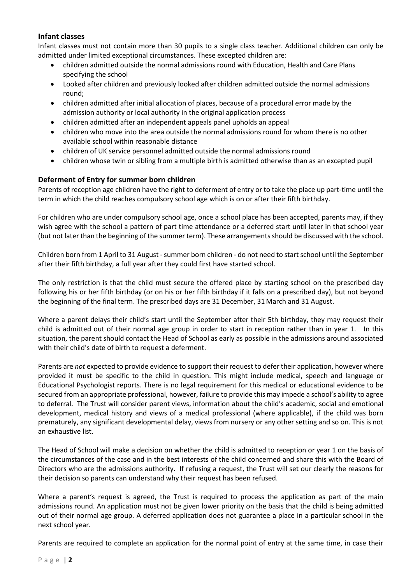#### **Infant classes**

Infant classes must not contain more than 30 pupils to a single class teacher. Additional children can only be admitted under limited exceptional circumstances. These excepted children are:

- children admitted outside the normal admissions round with Education, Health and Care Plans specifying the school
- Looked after children and previously looked after children admitted outside the normal admissions round;
- children admitted after initial allocation of places, because of a procedural error made by the admission authority or local authority in the original application process
- children admitted after an independent appeals panel upholds an appeal
- children who move into the area outside the normal admissions round for whom there is no other available school within reasonable distance
- children of UK service personnel admitted outside the normal admissions round
- children whose twin or sibling from a multiple birth is admitted otherwise than as an excepted pupil

# **Deferment of Entry for summer born children**

Parents of reception age children have the right to deferment of entry or to take the place up part-time until the term in which the child reaches compulsory school age which is on or after their fifth birthday.

For children who are under compulsory school age, once a school place has been accepted, parents may, if they wish agree with the school a pattern of part time attendance or a deferred start until later in that school year (but not later than the beginning of the summer term). These arrangements should be discussed with the school.

Children born from 1 April to 31 August - summer born children - do not need to start school until the September after their fifth birthday, a full year after they could first have started school.

The only restriction is that the child must secure the offered place by starting school on the prescribed day following his or her fifth birthday (or on his or her fifth birthday if it falls on a prescribed day), but not beyond the beginning of the final term. The prescribed days are 31 December, 31March and 31 August.

Where a parent delays their child's start until the September after their 5th birthday, they may request their child is admitted out of their normal age group in order to start in reception rather than in year 1. In this situation, the parent should contact the Head of School as early as possible in the admissions around associated with their child's date of birth to request a deferment.

Parents are *not* expected to provide evidence to support their request to defer their application, however where provided it must be specific to the child in question. This might include medical, speech and language or Educational Psychologist reports. There is no legal requirement for this medical or educational evidence to be secured from an appropriate professional, however, failure to provide this may impede a school's ability to agree to deferral. The Trust will consider parent views, information about the child's academic, social and emotional development, medical history and views of a medical professional (where applicable), if the child was born prematurely, any significant developmental delay, views from nursery or any other setting and so on. This is not an exhaustive list.

The Head of School will make a decision on whether the child is admitted to reception or year 1 on the basis of the circumstances of the case and in the best interests of the child concerned and share this with the Board of Directors who are the admissions authority. If refusing a request, the Trust will set our clearly the reasons for their decision so parents can understand why their request has been refused.

Where a parent's request is agreed, the Trust is required to process the application as part of the main admissions round. An application must not be given lower priority on the basis that the child is being admitted out of their normal age group. A deferred application does not guarantee a place in a particular school in the next school year.

Parents are required to complete an application for the normal point of entry at the same time, in case their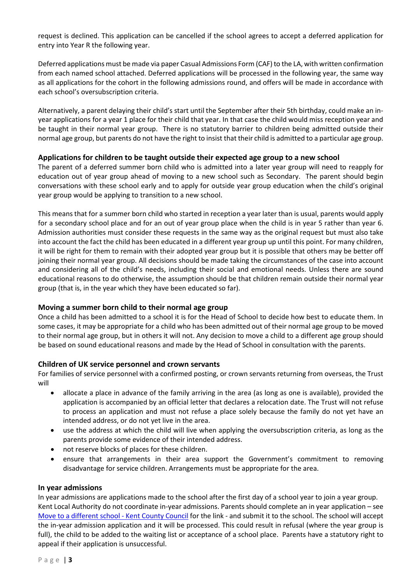request is declined. This application can be cancelled if the school agrees to accept a deferred application for entry into Year R the following year.

Deferred applications must be made via paper Casual Admissions Form (CAF) to the LA, with written confirmation from each named school attached. Deferred applications will be processed in the following year, the same way as all applications for the cohort in the following admissions round, and offers will be made in accordance with each school's oversubscription criteria.

Alternatively, a parent delaying their child's start until the September after their 5th birthday, could make an inyear applications for a year 1 place for their child that year. In that case the child would miss reception year and be taught in their normal year group. There is no statutory barrier to children being admitted outside their normal age group, but parents do not have the right to insist that their child is admitted to a particular age group.

#### **Applications for children to be taught outside their expected age group to a new school**

The parent of a deferred summer born child who is admitted into a later year group will need to reapply for education out of year group ahead of moving to a new school such as Secondary. The parent should begin conversations with these school early and to apply for outside year group education when the child's original year group would be applying to transition to a new school.

This means that for a summer born child who started in reception a year later than is usual, parents would apply for a secondary school place and for an out of year group place when the child is in year 5 rather than year 6. Admission authorities must consider these requests in the same way as the original request but must also take into account the fact the child has been educated in a different year group up until this point. For many children, it will be right for them to remain with their adopted year group but it is possible that others may be better off joining their normal year group. All decisions should be made taking the circumstances of the case into account and considering all of the child's needs, including their social and emotional needs. Unless there are sound educational reasons to do otherwise, the assumption should be that children remain outside their normal year group (that is, in the year which they have been educated so far).

#### **Moving a summer born child to their normal age group**

Once a child has been admitted to a school it is for the Head of School to decide how best to educate them. In some cases, it may be appropriate for a child who has been admitted out of their normal age group to be moved to their normal age group, but in others it will not. Any decision to move a child to a different age group should be based on sound educational reasons and made by the Head of School in consultation with the parents.

#### **Children of UK service personnel and crown servants**

For families of service personnel with a confirmed posting, or crown servants returning from overseas, the Trust will

- allocate a place in advance of the family arriving in the area (as long as one is available), provided the application is accompanied by an official letter that declares a relocation date. The Trust will not refuse to process an application and must not refuse a place solely because the family do not yet have an intended address, or do not yet live in the area.
- use the address at which the child will live when applying the oversubscription criteria, as long as the parents provide some evidence of their intended address.
- not reserve blocks of places for these children.
- ensure that arrangements in their area support the Government's commitment to removing disadvantage for service children. Arrangements must be appropriate for the area.

#### **In year admissions**

In year admissions are applications made to the school after the first day of a school year to join a year group. Kent Local Authority do not coordinate in-year admissions. Parents should complete an in year application – see [Move to a different school -](https://www.kent.gov.uk/education-and-children/schools/school-places/move-to-a-different-school) Kent County Council for the link - and submit it to the school. The school will accept the in-year admission application and it will be processed. This could result in refusal (where the year group is full), the child to be added to the waiting list or acceptance of a school place. Parents have a statutory right to appeal if their application is unsuccessful.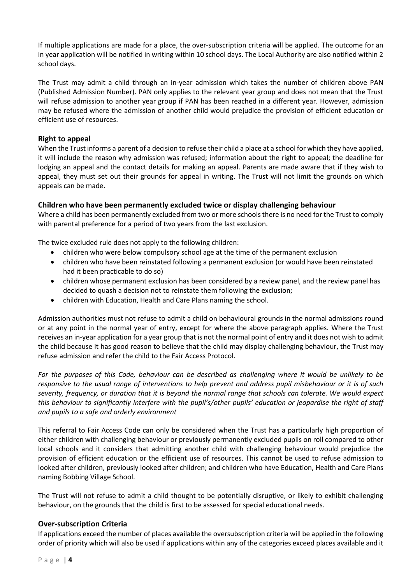If multiple applications are made for a place, the over-subscription criteria will be applied. The outcome for an in year application will be notified in writing within 10 school days. The Local Authority are also notified within 2 school days.

The Trust may admit a child through an in-year admission which takes the number of children above PAN (Published Admission Number). PAN only applies to the relevant year group and does not mean that the Trust will refuse admission to another year group if PAN has been reached in a different year. However, admission may be refused where the admission of another child would prejudice the provision of efficient education or efficient use of resources.

#### **Right to appeal**

When the Trust informs a parent of a decision to refuse their child a place at a school for which they have applied, it will include the reason why admission was refused; information about the right to appeal; the deadline for lodging an appeal and the contact details for making an appeal. Parents are made aware that if they wish to appeal, they must set out their grounds for appeal in writing. The Trust will not limit the grounds on which appeals can be made.

#### **Children who have been permanently excluded twice or display challenging behaviour**

Where a child has been permanently excluded from two or more schools there is no need for the Trust to comply with parental preference for a period of two years from the last exclusion.

The twice excluded rule does not apply to the following children:

- children who were below compulsory school age at the time of the permanent exclusion
- children who have been reinstated following a permanent exclusion (or would have been reinstated had it been practicable to do so)
- children whose permanent exclusion has been considered by a review panel, and the review panel has decided to quash a decision not to reinstate them following the exclusion;
- children with Education, Health and Care Plans naming the school.

Admission authorities must not refuse to admit a child on behavioural grounds in the normal admissions round or at any point in the normal year of entry, except for where the above paragraph applies. Where the Trust receives an in-year application for a year group that is not the normal point of entry and it does not wish to admit the child because it has good reason to believe that the child may display challenging behaviour, the Trust may refuse admission and refer the child to the Fair Access Protocol.

*For the purposes of this Code, behaviour can be described as challenging where it would be unlikely to be responsive to the usual range of interventions to help prevent and address pupil misbehaviour or it is of such severity, frequency, or duration that it is beyond the normal range that schools can tolerate. We would expect this behaviour to significantly interfere with the pupil's/other pupils' education or jeopardise the right of staff and pupils to a safe and orderly environment*

This referral to Fair Access Code can only be considered when the Trust has a particularly high proportion of either children with challenging behaviour or previously permanently excluded pupils on roll compared to other local schools and it considers that admitting another child with challenging behaviour would prejudice the provision of efficient education or the efficient use of resources. This cannot be used to refuse admission to looked after children, previously looked after children; and children who have Education, Health and Care Plans naming Bobbing Village School.

The Trust will not refuse to admit a child thought to be potentially disruptive, or likely to exhibit challenging behaviour, on the grounds that the child is first to be assessed for special educational needs.

#### **Over-subscription Criteria**

If applications exceed the number of places available the oversubscription criteria will be applied in the following order of priority which will also be used if applications within any of the categories exceed places available and it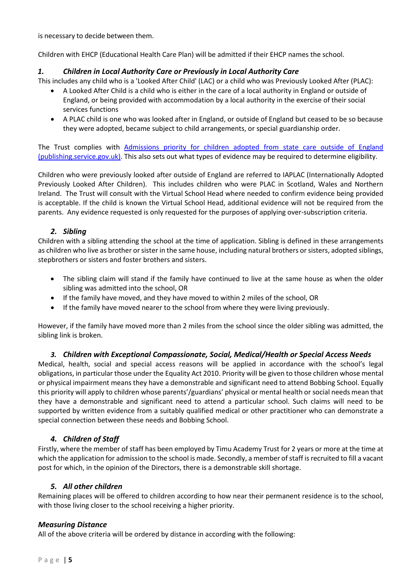is necessary to decide between them.

Children with EHCP (Educational Health Care Plan) will be admitted if their EHCP names the school.

#### *1. Children in Local Authority Care or Previously in Local Authority Care*

This includes any child who is a 'Looked After Child' (LAC) or a child who was Previously Looked After (PLAC):

- A Looked After Child is a child who is either in the care of a local authority in England or outside of England, or being provided with accommodation by a local authority in the exercise of their social services functions
- A PLAC child is one who was looked after in England, or outside of England but ceased to be so because they were adopted, became subject to child arrangements, or special guardianship order.

The Trust complies with Admissions priority for children adopted from state care outside of England [\(publishing.service.gov.uk\).](https://assets.publishing.service.gov.uk/government/uploads/system/uploads/attachment_data/file/1001066/Admissions_priority_for_children_adopted_from_state_care_outside_of_England.pdf) This also sets out what types of evidence may be required to determine eligibility.

Children who were previously looked after outside of England are referred to IAPLAC (Internationally Adopted Previously Looked After Children). This includes children who were PLAC in Scotland, Wales and Northern Ireland. The Trust will consult with the Virtual School Head where needed to confirm evidence being provided is acceptable. If the child is known the Virtual School Head, additional evidence will not be required from the parents. Any evidence requested is only requested for the purposes of applying over-subscription criteria.

## *2. Sibling*

Children with a sibling attending the school at the time of application. Sibling is defined in these arrangements as children who live as brother or sister in the same house, including natural brothers or sisters, adopted siblings, stepbrothers or sisters and foster brothers and sisters.

- The sibling claim will stand if the family have continued to live at the same house as when the older sibling was admitted into the school, OR
- If the family have moved, and they have moved to within 2 miles of the school, OR
- If the family have moved nearer to the school from where they were living previously.

However, if the family have moved more than 2 miles from the school since the older sibling was admitted, the sibling link is broken.

#### *3. Children with Exceptional Compassionate, Social, Medical/Health or Special Access Needs*

Medical, health, social and special access reasons will be applied in accordance with the school's legal obligations, in particular those under the Equality Act 2010. Priority will be given to those children whose mental or physical impairment means they have a demonstrable and significant need to attend Bobbing School. Equally this priority will apply to children whose parents'/guardians' physical or mental health or social needs mean that they have a demonstrable and significant need to attend a particular school. Such claims will need to be supported by written evidence from a suitably qualified medical or other practitioner who can demonstrate a special connection between these needs and Bobbing School.

#### *4. Children of Staff*

Firstly, where the member of staff has been employed by Timu Academy Trust for 2 years or more at the time at which the application for admission to the school is made. Secondly, a member of staff is recruited to fill a vacant post for which, in the opinion of the Directors, there is a demonstrable skill shortage.

#### *5. All other children*

Remaining places will be offered to children according to how near their permanent residence is to the school, with those living closer to the school receiving a higher priority.

#### *Measuring Distance*

All of the above criteria will be ordered by distance in according with the following: